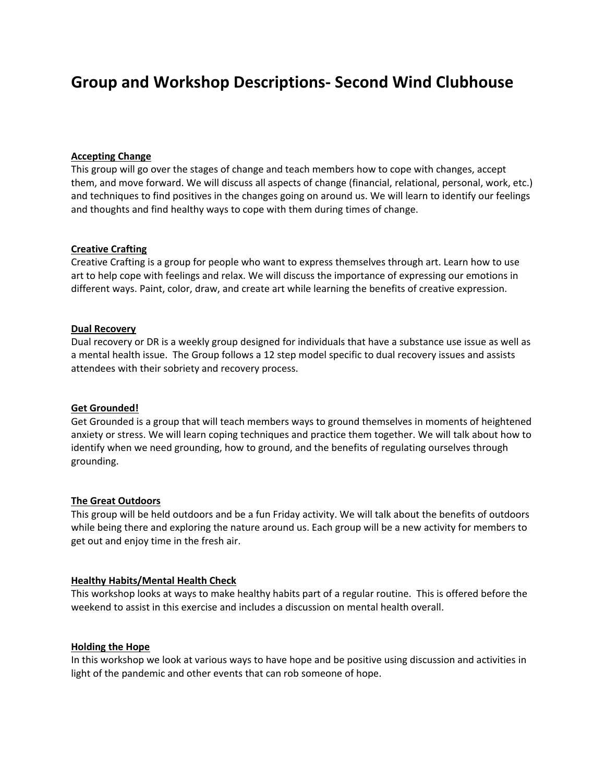# **Group and Workshop Descriptions- Second Wind Clubhouse**

#### **Accepting Change**

This group will go over the stages of change and teach members how to cope with changes, accept them, and move forward. We will discuss all aspects of change (financial, relational, personal, work, etc.) and techniques to find positives in the changes going on around us. We will learn to identify our feelings and thoughts and find healthy ways to cope with them during times of change.

## **Creative Crafting**

Creative Crafting is a group for people who want to express themselves through art. Learn how to use art to help cope with feelings and relax. We will discuss the importance of expressing our emotions in different ways. Paint, color, draw, and create art while learning the benefits of creative expression.

## **Dual Recovery**

Dual recovery or DR is a weekly group designed for individuals that have a substance use issue as well as a mental health issue. The Group follows a 12 step model specific to dual recovery issues and assists attendees with their sobriety and recovery process.

#### **Get Grounded!**

Get Grounded is a group that will teach members ways to ground themselves in moments of heightened anxiety or stress. We will learn coping techniques and practice them together. We will talk about how to identify when we need grounding, how to ground, and the benefits of regulating ourselves through grounding.

#### **The Great Outdoors**

This group will be held outdoors and be a fun Friday activity. We will talk about the benefits of outdoors while being there and exploring the nature around us. Each group will be a new activity for members to get out and enjoy time in the fresh air.

## **Healthy Habits/Mental Health Check**

This workshop looks at ways to make healthy habits part of a regular routine. This is offered before the weekend to assist in this exercise and includes a discussion on mental health overall.

#### **Holding the Hope**

In this workshop we look at various ways to have hope and be positive using discussion and activities in light of the pandemic and other events that can rob someone of hope.